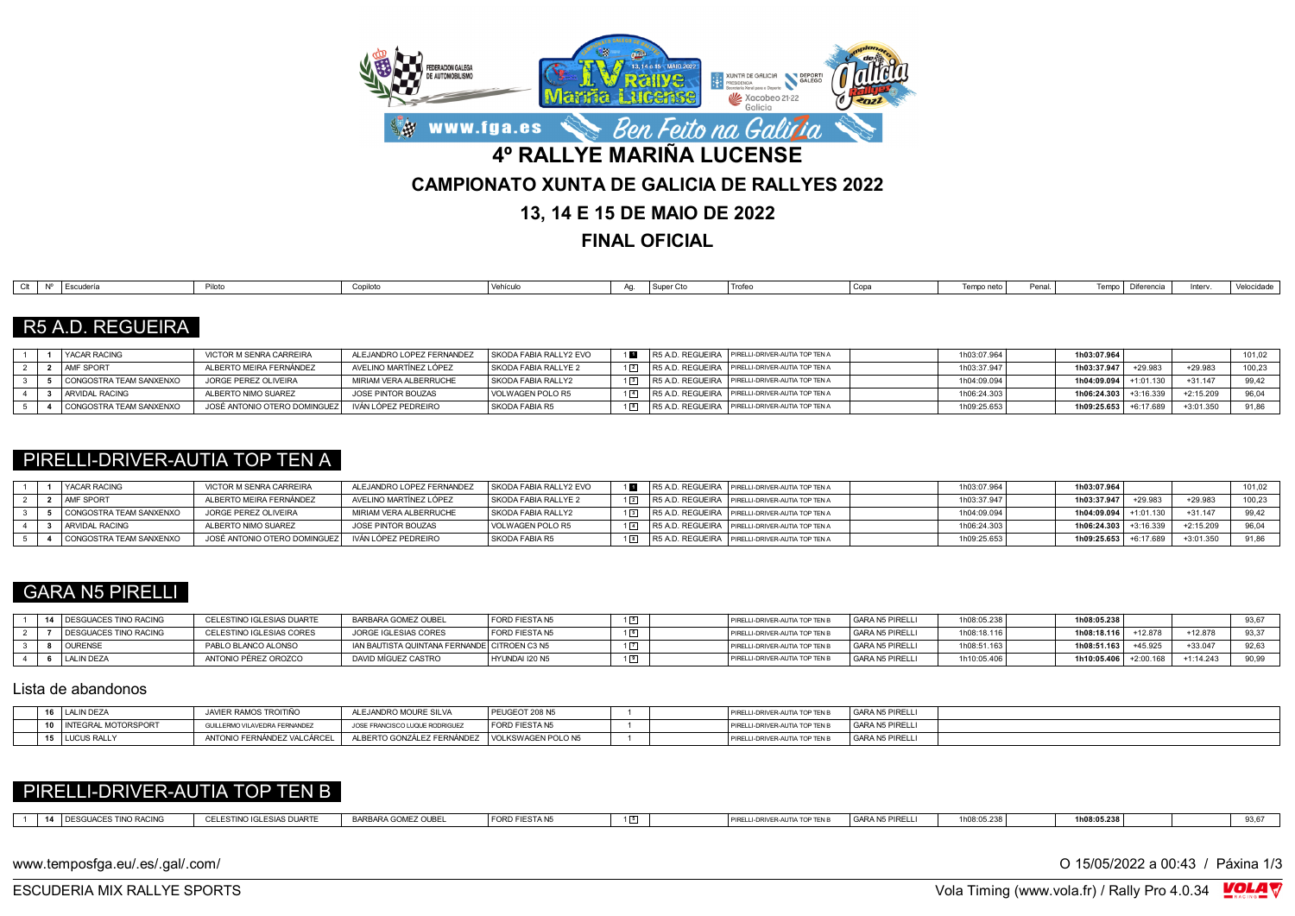

**FINAL OFICIAL**

| <b>Escuderi</b><br>Clt<br>Vehículu<br>Penal.<br>I Trofe<br>Tempo I<br>$T$ <sup>-</sup> mno netri<br>Diferencia<br>Interv.<br>Aa.<br>Copilote<br>Cop<br>I Suner C |  |  |  |  |  |  |  |            |
|------------------------------------------------------------------------------------------------------------------------------------------------------------------|--|--|--|--|--|--|--|------------|
|                                                                                                                                                                  |  |  |  |  |  |  |  | Velocidade |

# R5 A.D. REGUEIRA

|  | <b>YACAR RACING</b>     | VICTOR M SENRA CARREIRA       | ALEJANDRO LOPEZ FERNANDEZ | SKODA FABIA RALLY2 EVO |                  | 1 R5 A.D. REGUEIRA PIRELLI-DRIVER-AUTIA TOP TEN A   | 1h03:07.964 | 1h03:07.964 |           |             | 101,02 |
|--|-------------------------|-------------------------------|---------------------------|------------------------|------------------|-----------------------------------------------------|-------------|-------------|-----------|-------------|--------|
|  | AMF SPORT               | ALBERTO MEIRA FERNÁNDEZ       | AVELINO MARTÍNEZ LÓPEZ    | SKODA FABIA RALLYE 2   | $1\vert 2 \vert$ | R5 A.D. REGUEIRA PIRELLI-DRIVER-AUTIA TOP TEN A     | 1h03:37.947 | 1h03:37.947 | $+29.98$  | $+29.983$   | 100.23 |
|  | CONGOSTRA TEAM SANXENXO | JORGE PEREZ OLIVEIRA          | MIRIAM VERA ALBERRUCHE    | SKODA FABIA RALLY2     |                  | 13 R5 A.D. REGUEIRA PIRELLI-DRIVER-AUTIA TOP TEN A  | 1h04:09.094 | 1h04:09.094 |           | $+31.14$    | 99.42  |
|  | ARVIDAL RACING          | ALBERTO NIMO SUAREZ           | JOSE PINTOR BOUZAS        | VOLWAGEN POLO R5       |                  | 1 4 R5 A.D. REGUEIRA PIRELLI-DRIVER-AUTIA TOP TEN A | 1h06:24.303 | 1h06:24.303 |           | $+2:15.209$ | 96.04  |
|  | CONGOSTRA TEAM SANXENXO | JOSÉ ANTONIO OTERO DOMINGUEZI | IVÁN LÓPEZ PEDREIRO       | SKODA FABIA R5         |                  | 18 R5 A.D. REGUEIRA PIRELLI-DRIVER-AUTIA TOP TEN A  | 1h09:25.653 | 1h09:25.653 | +6:17.689 | $+3:01.350$ | 91,86  |

#### PIRELLI-DRIVER-AUTIA TOP TEN A

|  | <b>YACAR RACING</b>     | VICTOR M SENRA CARREIRA      | ALEJANDRO LOPEZ FERNANDEZ | SKODA FABIA RALLY2 EVO |  | R5 A.D. REGUEIRA   PIRELLI-DRIVER-AUTIA TOP TEN A | 1h03:07.964 | 1h03:07.964             |           |             | 101,02 |
|--|-------------------------|------------------------------|---------------------------|------------------------|--|---------------------------------------------------|-------------|-------------------------|-----------|-------------|--------|
|  | <b>AMF SPORT</b>        | ALBERTO MEIRA FERNÁNDEZ      | AVELINO MARTÍNEZ LÓPEZ    | SKODA FABIA RALLYE 2   |  | R5 A.D. REGUEIRA PIRELLI-DRIVER-AUTIA TOP TEN A   | 1h03:37.947 | 1h03:37.947             | $+29.983$ | $+29.98$    | 100,23 |
|  | CONGOSTRA TEAM SANXENXO | JORGE PEREZ OLIVEIRA         | MIRIAM VERA ALBERRUCHE    | SKODA FABIA RALLY2     |  | R5 A.D. REGUEIRA PIRELLI-DRIVER-AUTIA TOP TEN A   | 1h04:09.094 | 1h04:09.094             |           | $+31.147$   | 99.42  |
|  | ARVIDAL RACING          | ALBERTO NIMO SUAREZ          | JOSE PINTOR BOUZAS        | VOLWAGEN POLO R5       |  | R5 A.D. REGUEIRA   PIRELLI-DRIVER-AUTIA TOP TEN A | 1h06:24.303 | $1h06:24.303$ +3:16.339 |           | $+2:15.209$ |        |
|  | CONGOSTRA TEAM SANXENXO | JOSÉ ANTONIO OTERO DOMINGUEZ | IVÁN LÓPEZ PEDREIRO       | SKODA FABIA R5         |  | R5 A.D. REGUEIRA   PIRELLI-DRIVER-AUTIA TOP TEN A | 1h09:25.653 | 1h09:25.653 +6:17.689   |           | $+3:01.350$ | 91.86  |

### GARA N5 PIRELLI

|  | 14   DESGUACES TINO RACING   | CELESTINO IGLESIAS DUARTE | BARBARA GOMEZ OUBEL                           | FORD FIESTA N5 | PIRELL-DRIVER-AUTIA TOP TEN    | <sup>I</sup> GARA N5 PIRELLI | 1h08:05.238 | 1h08:05.238           |         |             | 93,67 |
|--|------------------------------|---------------------------|-----------------------------------------------|----------------|--------------------------------|------------------------------|-------------|-----------------------|---------|-------------|-------|
|  | <b>DESGUACES TINO RACING</b> | CELESTINO IGLESIAS CORES  | JORGE IGLESIAS CORES                          | FORD FIESTA N5 | PIRELLI-DRIVER-AUTIA TOP TEN   | <sup>I</sup> GARA N5 PIRELLI | 1h08:18.116 | 1h08:18.116           | +12.878 | $+12.878$   | 93,37 |
|  | <b>OURENSE</b>               | PABLO BLANCO ALONSO       | IAN BAUTISTA QUINTANA FERNANDE  CITROEN C3 N5 |                | PIRELLI-DRIVER-AUTIA TOP TEN b | GARA N5 PIRELLI              | 1h08:51.163 | 1h08:51.163           | 45.925  | $+33.047$   | 92,63 |
|  | LALIN DEZA                   | ANTONIO PÉREZ OROZCO      | DAVID MÍGUEZ CASTRO                           | HYUNDAI I20 N5 | PIRELLI-DRIVER-AUTIA TOP TEN   | GARA N5 PIRELLI              | 1h10:05.406 | 1h10:05.406 +2:00.168 |         | $+1:14.243$ | 90,99 |

#### Lista de abandonos

| 16 LALIN DEZA            | JAVIER RAMOS TROITIÑO         | ALEJANDRO MOURE SILVA                                                         | I PEUGEOT 208 N5      | GARA N5 PIRELLI<br>PIRELLI-DRIVER-AUTIA TOP TEN B |
|--------------------------|-------------------------------|-------------------------------------------------------------------------------|-----------------------|---------------------------------------------------|
| 10   INTEGRAL MOTORSPORT | GUILLERMO VILAVEDRA FERNANDEZ | JOSE FRANCISCO LUQUE RODRIGUEZ                                                | <b>FORD FIESTA N5</b> | GARA N5 PIRELLI<br>PIRELLI-DRIVER-AUTIA TOP TEN B |
| 15 LUCUS RALLY           |                               | ANTONIO FERNÁNDEZ VALCÁRCEL   ALBERTO GONZÁLEZ FERNÁNDEZ   VOLKSWAGEN POLO N5 |                       | GARA N5 PIRELLI<br>PIRELLI-DRIVER-AUTIA TOP TEN B |

## PIRELLI-DRIVER-AUTIA TOP TEN B

| <b>DAOINE</b> | .<br><b>ALESTINO IC</b><br>` ESIAS DUART∟<br>. | <b>GOMEZ OUBEL</b><br><b>DADDADA C</b><br>ARA GUNE<br><b>DARL</b> | FORD FIESTA N5 | 1 5 | PIRELL<br>` DRIVER-AUT. | <b>GARA N5 PIRELL</b> | 1h08:05.238 | Ih08:05.238 | .<br>ov, o |
|---------------|------------------------------------------------|-------------------------------------------------------------------|----------------|-----|-------------------------|-----------------------|-------------|-------------|------------|
|               |                                                |                                                                   |                |     |                         |                       |             |             |            |

www.temposfga.eu/.es/.gal/.com/ **O 15/05/2022** a 00:43 / Páxina 1/3

VolaSoftControlPdf ESCUDERIA MIX RALLYE SPORTS Vola Timing (www.vola.fr) / Rally Pro 4.0.34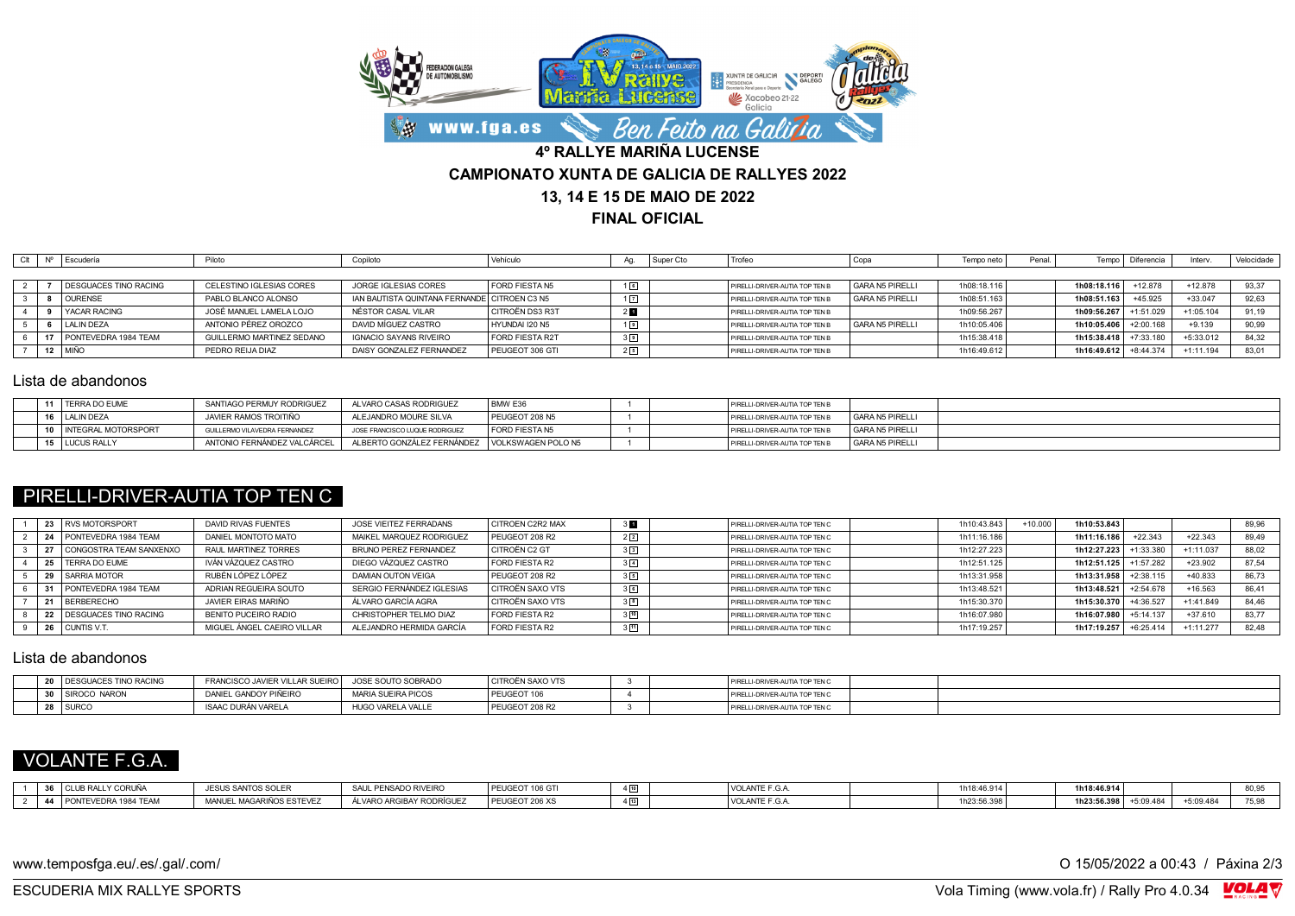

**FINAL OFICIAL**

| Clt | <b>NO</b> | Escudería             | Piloto                    | Copiloto                                     | Vehículo               | Aa.            | Super Cto | Trofeo                         | <b>UU</b> u     | Tempo neto  | Penal |                         | Tempo   Diferencia | Interv.     | Velocidade |
|-----|-----------|-----------------------|---------------------------|----------------------------------------------|------------------------|----------------|-----------|--------------------------------|-----------------|-------------|-------|-------------------------|--------------------|-------------|------------|
|     |           |                       |                           |                                              |                        |                |           |                                |                 |             |       |                         |                    |             |            |
|     |           | DESGUACES TINO RACING | CELESTINO IGLESIAS CORES  | JORGE IGLESIAS CORES                         | FORD FIESTA N5         | 16             |           | PIRELLI-DRIVER-AUTIA TOP TEN B | GARA N5 PIRELLI | 1h08:18.116 |       | 1h08:18.116             | $+12.878$          | $+12.878$   | 93,37      |
|     |           | <b>OURENSE</b>        | PABLO BLANCO ALONSO       | IAN BAUTISTA QUINTANA FERNANDE CITROEN C3 N5 |                        | $1\sqrt{7}$    |           | PIRELLI-DRIVER-AUTIA TOP TEN B | GARA N5 PIRELLI | 1h08:51.163 |       | 1h08:51.163             | $+45.925$          | $+33.047$   | 92.63      |
|     |           | YACAR RACING          | JOSÉ MANUEL LAMELA LOJO   | NÉSTOR CASAL VILAR                           | I CITROËN DS3 R3T      | 2 <sub>1</sub> |           | PIRELLI-DRIVER-AUTIA TOP TEN B |                 | 1h09:56.267 |       | 1h09:56.267 +1:51.029   |                    | $+1:05.104$ | 91,19      |
|     |           | LALIN DEZA            | ANTONIO PÉREZ OROZCO      | DAVID MÍGUEZ CASTRO                          | HYUNDAI I20 N5         |                |           | PIRELLI-DRIVER-AUTIA TOP TEN B | GARA N5 PIRELLI | 1h10:05.406 |       | 1h10:05.406             | $+2:00.168$        | $+9.139$    | 90,99      |
|     |           | PONTEVEDRA 1984 TEAM  | GUILLERMO MARTINEZ SEDANO | <b>IGNACIO SAYANS RIVEIRO</b>                | <b>FORD FIESTA R2T</b> | $3\sqrt{9}$    |           | PIRELLI-DRIVER-AUTIA TOP TEN B |                 | 1h15:38.418 |       | $1h15:38.418$ +7:33.180 |                    | $+5:33.012$ | 84.32      |
|     |           | 12 MIÑO               | PEDRO REIJA DIAZ          | DAISY GONZALEZ FERNANDEZ                     | PEUGEOT 306 GTI        | 25             |           | PIRELLI-DRIVER-AUTIA TOP TEN B |                 | 1h16:49.612 |       | 1h16:49.612 +8:44.374   |                    | $+1:11.194$ | 83.01      |

#### Lista de abandonos

| 11   TERRA DO EUME     | SANTIAGO PERMUY RODRIGUEZ     | ALVARO CASAS RODRIGUEZ                         | BMW E36        |  | PIRELLI-DRIVER-AUTIA TOP TEN B |                 |
|------------------------|-------------------------------|------------------------------------------------|----------------|--|--------------------------------|-----------------|
| 16   LALIN DEZA        | JAVIER RAMOS TROITIÑO         | ALEJANDRO MOURE SILVA                          | PEUGEOT 208 N5 |  | PIRELLI-DRIVER-AUTIA TOP TEN B | GARA N5 PIRELLI |
| 10 INTEGRAL MOTORSPORT | GUILLERMO VILAVEDRA FERNANDEZ | JOSE FRANCISCO LUQUE RODRIGUEZ                 | FORD FIESTA N5 |  | PIRELLI-DRIVER-AUTIA TOP TEN B | GARA N5 PIRELLI |
| 15 LUCUS RALLY         | ANTONIO FERNÁNDEZ VALCÁRCEL   | ALBERTO GONZÁLEZ FERNÁNDEZ IVOLKSWAGEN POLO N5 |                |  | PIRELLI-DRIVER-AUTIA TOP TEN B | GARA N5 PIRELLI |

### PIRELLI-DRIVER-AUTIA TOP TEN C

|  | I RVS MOTORSPORT               | DAVID RIVAS FUENTES        | JOSE VIEITEZ FERRADANS    | CITROEN C2R2 MAX        | 3 <sub>1</sub> | PIRELLI-DRIVER-AUTIA TOP TEN C | 1h10:43.843 | $+10.000$ . | 1h10:53.843           |             |             | 89,96 |
|--|--------------------------------|----------------------------|---------------------------|-------------------------|----------------|--------------------------------|-------------|-------------|-----------------------|-------------|-------------|-------|
|  | PONTEVEDRA 1984 TEAM           | DANIEL MONTOTO MATO        | MAIKEL MARQUEZ RODRIGUEZ  | PEUGEOT 208 R2          | $2\sqrt{2}$    | PIRELLI-DRIVER-AUTIA TOP TEN C | 1h11:16.186 |             | 1h11:16.186           | $+22.343$   | $+22.343$   | 89.49 |
|  | CONGOSTRA TEAM SANXENXO        | RAUL MARTINEZ TORRES       | BRUNO PEREZ FERNANDEZ     | CITROËN C2 GT           | 3 <sup>3</sup> | PIRELLI-DRIVER-AUTIA TOP TEN C | 1h12:27.223 |             | 1h12:27.223           | $-1:33.380$ | $+1:11.037$ | 88.02 |
|  | 25   TERRA DO EUME             | IVÁN VÁZQUEZ CASTRO        | DIEGO VÁZQUEZ CASTRO      | FORD FIESTA R2          | $3\sqrt{4}$    | PIRELLI-DRIVER-AUTIA TOP TEN C | 1h12:51.125 |             | 1h12:51.125 +1:57.282 |             | $+23.902$   | 87.54 |
|  | I SARRIA MOTOR                 | RUBÉN LÓPEZ LÓPEZ          | DAMIAN OUTON VEIGA        | PEUGEOT 208 R2          | $3\sqrt{5}$    | PIRELLI-DRIVER-AUTIA TOP TEN C | 1h13:31.958 |             | 1h13:31.958 +2:38.115 |             | $+40.833$   | 86,73 |
|  | PONTEVEDRA 1984 TEAM           | ADRIAN REGUEIRA SOUTO      | SERGIO FERNÁNDEZ IGLESIAS | <b>CITROËN SAXO VTS</b> | 3 <sup>6</sup> | PIRELLI-DRIVER-AUTIA TOP TEN C | 1h13:48.521 |             | 1h13:48.521 +2:54.678 |             | $+16.563$   | 86,41 |
|  | <b>BERBERECHO</b>              | JAVIER FIRAS MARIÑO        | ÁLVARO GARCÍA AGRA        | CITROËN SAXO VTS        | 3 <sup>8</sup> | PIRELLI-DRIVER-AUTIA TOP TEN C | 1h15:30.370 |             | 1h15:30.370 +4:36.527 |             | $+1:41.849$ | 84.46 |
|  | <b>I DESGUACES TINO RACING</b> | BENITO PUCEIRO RADIO       | CHRISTOPHER TELMO DIAZ    | FORD FIESTA R2          | $3\sqrt{10}$   | PIRELLI-DRIVER-AUTIA TOP TEN C | 1h16:07.980 |             | 1h16:07.980 +5:14.137 |             | $+37.610$   | 83.77 |
|  | CUNTIS V.T.                    | MIGUEL ÁNGEL CAEIRO VILLAR | ALEJANDRO HERMIDA GARCÍA  | FORD FIESTA R2          | $3\sqrt{11}$   | PIRELLI-DRIVER-AUTIA TOP TEN C | 1h17:19.257 |             | 1h17:19.257 +6:25.414 |             | $+1:11.277$ | 82.48 |

#### Lista de abandonos

|  | DESGUACES TINO RACING | FRANCISCO JAVIER VILLAR SUEIRO | JOSE SOUTO SOBRADO | I CITROËN SAXO VTS |  | PIRELLI-DRIVER-AUTIA TOP TEN C |  |
|--|-----------------------|--------------------------------|--------------------|--------------------|--|--------------------------------|--|
|  | SIROCO NARON          | DANIEL GANDOY PIÑEIRO          | MARIA SUEIRA PICOS | PEUGEOT 106        |  | PIRELLI-DRIVER-AUTIA TOP TEN C |  |
|  | 28   SURCO            | ISAAC DURÁN VARELA             | HUGO VARELA VALLE  | PEUGEOT 208 R2     |  | PIRELLI-DRIVER-AUTIA TOP TEN C |  |

# VOLANTE F.G.A.

| $\sim$ | È CLUB RALLY CORUÑA         | TO IR SANTOS SOLER                                         | SAUL PENSADO RIVEIRO     | 106 G I<br>PEUGEUT | LANIE F.G.A     | 1h18:46.914 | 1h18:46.914 |                       |           | $  -$<br>ווא |
|--------|-----------------------------|------------------------------------------------------------|--------------------------|--------------------|-----------------|-------------|-------------|-----------------------|-----------|--------------|
|        | 44 PONT<br>FVEDRA 1984 TEAM | <b>OS ESTEVEZ</b><br>MAGARIÑOS E<br><b>MANILIE</b><br>๚๛๚๛ | ÁLVARO ARGIBAY RODRÍGUEZ | PEUGEOT 206 XS     | I VOLANIE F.G./ | 1h23:56.398 | 1h23:56.398 | $+5.00A84$<br>J.UY.40 | +5:09.484 | 7 ບ.ສຕ       |

www.temposfga.eu/.es/.gal/.com/ **O 15/05/2022** a 00:43 / Páxina 2/3

VolaSoftControlPdf ESCUDERIA MIX RALLYE SPORTS Vola Timing (www.vola.fr) / Rally Pro 4.0.34